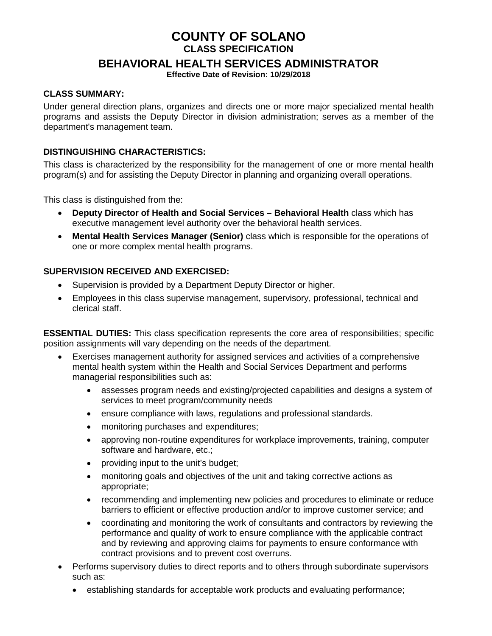## **COUNTY OF SOLANO CLASS SPECIFICATION**

# **BEHAVIORAL HEALTH SERVICES ADMINISTRATOR**

**Effective Date of Revision: 10/29/2018**

## **CLASS SUMMARY:**

Under general direction plans, organizes and directs one or more major specialized mental health programs and assists the Deputy Director in division administration; serves as a member of the department's management team.

#### **DISTINGUISHING CHARACTERISTICS:**

This class is characterized by the responsibility for the management of one or more mental health program(s) and for assisting the Deputy Director in planning and organizing overall operations.

This class is distinguished from the:

- **Deputy Director of Health and Social Services – Behavioral Health** class which has executive management level authority over the behavioral health services.
- **Mental Health Services Manager (Senior)** class which is responsible for the operations of one or more complex mental health programs.

#### **SUPERVISION RECEIVED AND EXERCISED:**

- Supervision is provided by a Department Deputy Director or higher.
- Employees in this class supervise management, supervisory, professional, technical and clerical staff.

**ESSENTIAL DUTIES:** This class specification represents the core area of responsibilities; specific position assignments will vary depending on the needs of the department.

- Exercises management authority for assigned services and activities of a comprehensive mental health system within the Health and Social Services Department and performs managerial responsibilities such as:
	- assesses program needs and existing/projected capabilities and designs a system of services to meet program/community needs
	- ensure compliance with laws, regulations and professional standards.
	- monitoring purchases and expenditures;
	- approving non-routine expenditures for workplace improvements, training, computer software and hardware, etc.;
	- providing input to the unit's budget;
	- monitoring goals and objectives of the unit and taking corrective actions as appropriate;
	- recommending and implementing new policies and procedures to eliminate or reduce barriers to efficient or effective production and/or to improve customer service; and
	- coordinating and monitoring the work of consultants and contractors by reviewing the performance and quality of work to ensure compliance with the applicable contract and by reviewing and approving claims for payments to ensure conformance with contract provisions and to prevent cost overruns.
- Performs supervisory duties to direct reports and to others through subordinate supervisors such as:
	- establishing standards for acceptable work products and evaluating performance;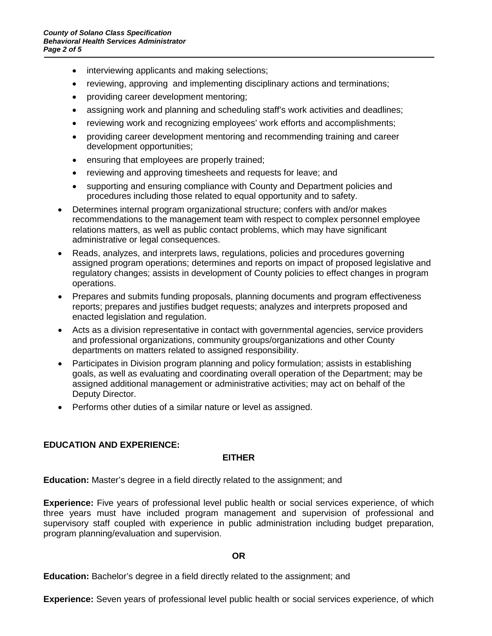- interviewing applicants and making selections;
- reviewing, approving and implementing disciplinary actions and terminations;
- providing career development mentoring;
- assigning work and planning and scheduling staff's work activities and deadlines;
- reviewing work and recognizing employees' work efforts and accomplishments;
- providing career development mentoring and recommending training and career development opportunities;
- ensuring that employees are properly trained;
- reviewing and approving timesheets and requests for leave; and
- supporting and ensuring compliance with County and Department policies and procedures including those related to equal opportunity and to safety.
- Determines internal program organizational structure; confers with and/or makes recommendations to the management team with respect to complex personnel employee relations matters, as well as public contact problems, which may have significant administrative or legal consequences.
- Reads, analyzes, and interprets laws, regulations, policies and procedures governing assigned program operations; determines and reports on impact of proposed legislative and regulatory changes; assists in development of County policies to effect changes in program operations.
- Prepares and submits funding proposals, planning documents and program effectiveness reports; prepares and justifies budget requests; analyzes and interprets proposed and enacted legislation and regulation.
- Acts as a division representative in contact with governmental agencies, service providers and professional organizations, community groups/organizations and other County departments on matters related to assigned responsibility.
- Participates in Division program planning and policy formulation; assists in establishing goals, as well as evaluating and coordinating overall operation of the Department; may be assigned additional management or administrative activities; may act on behalf of the Deputy Director.
- Performs other duties of a similar nature or level as assigned.

## **EDUCATION AND EXPERIENCE:**

#### **EITHER**

**Education:** Master's degree in a field directly related to the assignment; and

**Experience:** Five years of professional level public health or social services experience, of which three years must have included program management and supervision of professional and supervisory staff coupled with experience in public administration including budget preparation, program planning/evaluation and supervision.

#### **OR**

**Education:** Bachelor's degree in a field directly related to the assignment; and

**Experience:** Seven years of professional level public health or social services experience, of which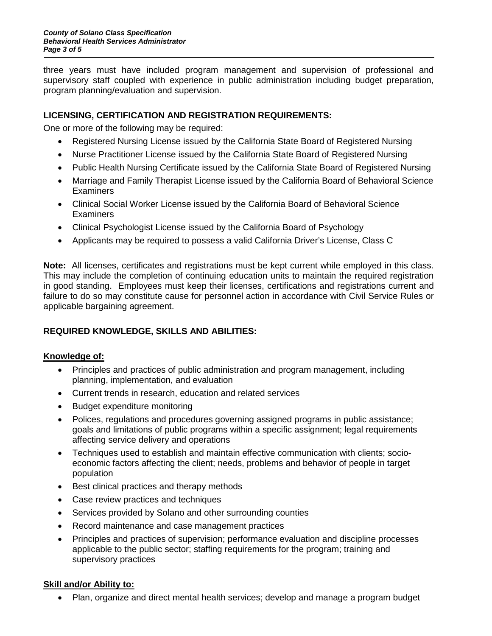three years must have included program management and supervision of professional and supervisory staff coupled with experience in public administration including budget preparation, program planning/evaluation and supervision.

## **LICENSING, CERTIFICATION AND REGISTRATION REQUIREMENTS:**

One or more of the following may be required:

- Registered Nursing License issued by the California State Board of Registered Nursing
- Nurse Practitioner License issued by the California State Board of Registered Nursing
- Public Health Nursing Certificate issued by the California State Board of Registered Nursing
- Marriage and Family Therapist License issued by the California Board of Behavioral Science **Examiners**
- Clinical Social Worker License issued by the California Board of Behavioral Science **Examiners**
- Clinical Psychologist License issued by the California Board of Psychology
- Applicants may be required to possess a valid California Driver's License, Class C

**Note:** All licenses, certificates and registrations must be kept current while employed in this class. This may include the completion of continuing education units to maintain the required registration in good standing. Employees must keep their licenses, certifications and registrations current and failure to do so may constitute cause for personnel action in accordance with Civil Service Rules or applicable bargaining agreement.

## **REQUIRED KNOWLEDGE, SKILLS AND ABILITIES:**

## **Knowledge of:**

- Principles and practices of public administration and program management, including planning, implementation, and evaluation
- Current trends in research, education and related services
- Budget expenditure monitoring
- Polices, regulations and procedures governing assigned programs in public assistance; goals and limitations of public programs within a specific assignment; legal requirements affecting service delivery and operations
- Techniques used to establish and maintain effective communication with clients; socioeconomic factors affecting the client; needs, problems and behavior of people in target population
- Best clinical practices and therapy methods
- Case review practices and techniques
- Services provided by Solano and other surrounding counties
- Record maintenance and case management practices
- Principles and practices of supervision; performance evaluation and discipline processes applicable to the public sector; staffing requirements for the program; training and supervisory practices

## **Skill and/or Ability to:**

• Plan, organize and direct mental health services; develop and manage a program budget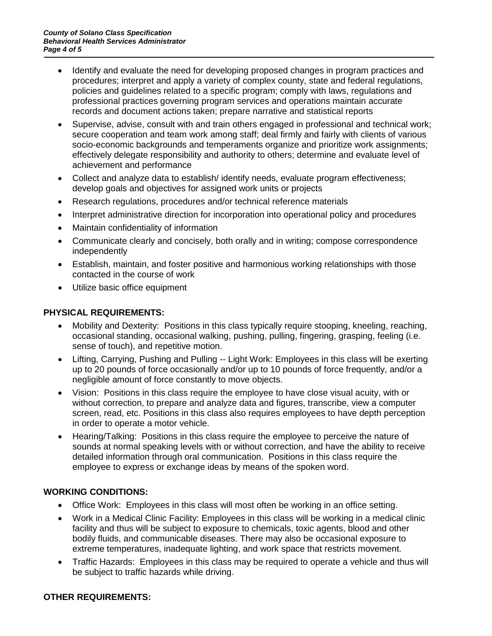- Identify and evaluate the need for developing proposed changes in program practices and procedures; interpret and apply a variety of complex county, state and federal regulations, policies and guidelines related to a specific program; comply with laws, regulations and professional practices governing program services and operations maintain accurate records and document actions taken; prepare narrative and statistical reports
- Supervise, advise, consult with and train others engaged in professional and technical work; secure cooperation and team work among staff; deal firmly and fairly with clients of various socio-economic backgrounds and temperaments organize and prioritize work assignments; effectively delegate responsibility and authority to others; determine and evaluate level of achievement and performance
- Collect and analyze data to establish/ identify needs, evaluate program effectiveness; develop goals and objectives for assigned work units or projects
- Research regulations, procedures and/or technical reference materials
- Interpret administrative direction for incorporation into operational policy and procedures
- Maintain confidentiality of information
- Communicate clearly and concisely, both orally and in writing; compose correspondence independently
- Establish, maintain, and foster positive and harmonious working relationships with those contacted in the course of work
- Utilize basic office equipment

## **PHYSICAL REQUIREMENTS:**

- Mobility and Dexterity: Positions in this class typically require stooping, kneeling, reaching, occasional standing, occasional walking, pushing, pulling, fingering, grasping, feeling (i.e. sense of touch), and repetitive motion.
- Lifting, Carrying, Pushing and Pulling -- Light Work: Employees in this class will be exerting up to 20 pounds of force occasionally and/or up to 10 pounds of force frequently, and/or a negligible amount of force constantly to move objects.
- Vision: Positions in this class require the employee to have close visual acuity, with or without correction, to prepare and analyze data and figures, transcribe, view a computer screen, read, etc. Positions in this class also requires employees to have depth perception in order to operate a motor vehicle.
- Hearing/Talking: Positions in this class require the employee to perceive the nature of sounds at normal speaking levels with or without correction, and have the ability to receive detailed information through oral communication. Positions in this class require the employee to express or exchange ideas by means of the spoken word.

## **WORKING CONDITIONS:**

- Office Work: Employees in this class will most often be working in an office setting.
- Work in a Medical Clinic Facility: Employees in this class will be working in a medical clinic facility and thus will be subject to exposure to chemicals, toxic agents, blood and other bodily fluids, and communicable diseases. There may also be occasional exposure to extreme temperatures, inadequate lighting, and work space that restricts movement.
- Traffic Hazards: Employees in this class may be required to operate a vehicle and thus will be subject to traffic hazards while driving.

## **OTHER REQUIREMENTS:**